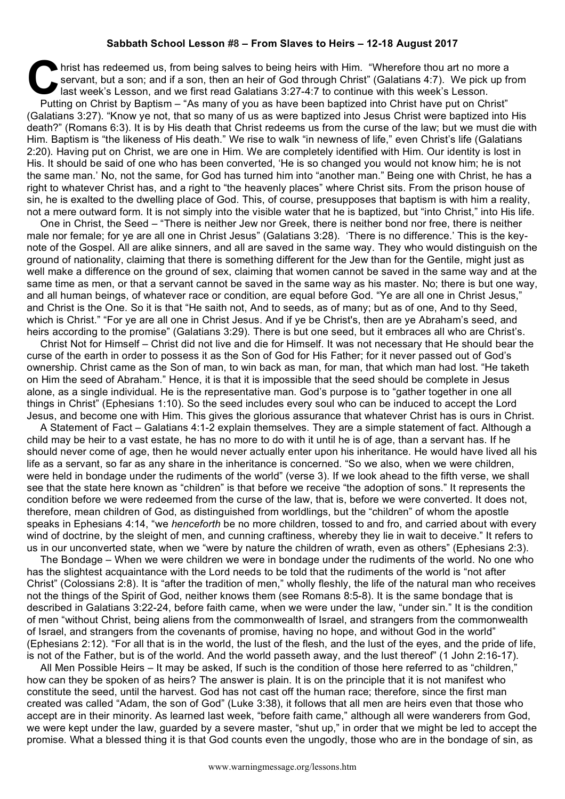## **Sabbath School Lesson #8 – From Slaves to Heirs – 12-18 August 2017**

hrist has redeemed us, from being salves to being heirs with Him. "Wherefore thou art no more a servant, but a son; and if a son, then an heir of God through Christ" (Galatians 4:7). We pick up frequency has the serve of l servant, but a son; and if a son, then an heir of God through Christ" (Galatians 4:7). We pick up from last week's Lesson, and we first read Galatians 3:27-4:7 to continue with this week's Lesson. Putting on Christ by Baptism – "As many of you as have been baptized into Christ have put on Christ" (Galatians 3:27). "Know ye not, that so many of us as were baptized into Jesus Christ were baptized into His death?" (Romans 6:3). It is by His death that Christ redeems us from the curse of the law; but we must die with Him. Baptism is "the likeness of His death." We rise to walk "in newness of life," even Christ's life (Galatians 2:20). Having put on Christ, we are one in Him. We are completely identified with Him. Our identity is lost in His. It should be said of one who has been converted, 'He is so changed you would not know him; he is not the same man.' No, not the same, for God has turned him into "another man." Being one with Christ, he has a right to whatever Christ has, and a right to "the heavenly places" where Christ sits. From the prison house of sin, he is exalted to the dwelling place of God. This, of course, presupposes that baptism is with him a reality, not a mere outward form. It is not simply into the visible water that he is baptized, but "into Christ," into His life.

One in Christ, the Seed – "There is neither Jew nor Greek, there is neither bond nor free, there is neither male nor female; for ye are all one in Christ Jesus" (Galatians 3:28). 'There is no difference.' This is the keynote of the Gospel. All are alike sinners, and all are saved in the same way. They who would distinguish on the ground of nationality, claiming that there is something different for the Jew than for the Gentile, might just as well make a difference on the ground of sex, claiming that women cannot be saved in the same way and at the same time as men, or that a servant cannot be saved in the same way as his master. No; there is but one way, and all human beings, of whatever race or condition, are equal before God. "Ye are all one in Christ Jesus," and Christ is the One. So it is that "He saith not, And to seeds, as of many; but as of one, And to thy Seed, which is Christ." "For ye are all one in Christ Jesus. And if ye be Christ's, then are ye Abraham's seed, and heirs according to the promise" (Galatians 3:29). There is but one seed, but it embraces all who are Christ's.

Christ Not for Himself – Christ did not live and die for Himself. It was not necessary that He should bear the curse of the earth in order to possess it as the Son of God for His Father; for it never passed out of God's ownership. Christ came as the Son of man, to win back as man, for man, that which man had lost. "He taketh on Him the seed of Abraham." Hence, it is that it is impossible that the seed should be complete in Jesus alone, as a single individual. He is the representative man. God's purpose is to "gather together in one all things in Christ" (Ephesians 1:10). So the seed includes every soul who can be induced to accept the Lord Jesus, and become one with Him. This gives the glorious assurance that whatever Christ has is ours in Christ.

A Statement of Fact – Galatians 4:1-2 explain themselves. They are a simple statement of fact. Although a child may be heir to a vast estate, he has no more to do with it until he is of age, than a servant has. If he should never come of age, then he would never actually enter upon his inheritance. He would have lived all his life as a servant, so far as any share in the inheritance is concerned. "So we also, when we were children, were held in bondage under the rudiments of the world" (verse 3). If we look ahead to the fifth verse, we shall see that the state here known as "children" is that before we receive "the adoption of sons." It represents the condition before we were redeemed from the curse of the law, that is, before we were converted. It does not, therefore, mean children of God, as distinguished from worldlings, but the "children" of whom the apostle speaks in Ephesians 4:14, "we *henceforth* be no more children, tossed to and fro, and carried about with every wind of doctrine, by the sleight of men, and cunning craftiness, whereby they lie in wait to deceive." It refers to us in our unconverted state, when we "were by nature the children of wrath, even as others" (Ephesians 2:3).

The Bondage – When we were children we were in bondage under the rudiments of the world. No one who has the slightest acquaintance with the Lord needs to be told that the rudiments of the world is "not after Christ" (Colossians 2:8). It is "after the tradition of men," wholly fleshly, the life of the natural man who receives not the things of the Spirit of God, neither knows them (see Romans 8:5-8). It is the same bondage that is described in Galatians 3:22-24, before faith came, when we were under the law, "under sin." It is the condition of men "without Christ, being aliens from the commonwealth of Israel, and strangers from the commonwealth of Israel, and strangers from the covenants of promise, having no hope, and without God in the world" (Ephesians 2:12). "For all that is in the world, the lust of the flesh, and the lust of the eyes, and the pride of life, is not of the Father, but is of the world. And the world passeth away, and the lust thereof" (1 John 2:16-17).

All Men Possible Heirs – It may be asked, If such is the condition of those here referred to as "children," how can they be spoken of as heirs? The answer is plain. It is on the principle that it is not manifest who constitute the seed, until the harvest. God has not cast off the human race; therefore, since the first man created was called "Adam, the son of God" (Luke 3:38), it follows that all men are heirs even that those who accept are in their minority. As learned last week, "before faith came," although all were wanderers from God, we were kept under the law, guarded by a severe master, "shut up," in order that we might be led to accept the promise. What a blessed thing it is that God counts even the ungodly, those who are in the bondage of sin, as